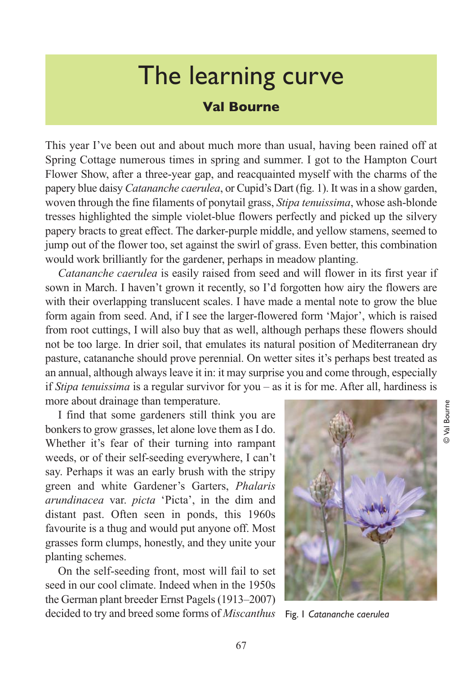## The learning curve

## **Val Bourne**

This year I've been out and about much more than usual, having been rained off at Spring Cottage numerous times in spring and summer. I got to the Hampton Court Flower Show, after a three-year gap, and reacquainted myself with the charms of the papery blue daisy *Catananche caerulea*, or Cupid's Dart (fig. 1). It was in a show garden, woven through the fine filaments of ponytail grass, *Stipa tenuissima*, whose ash-blonde tresses highlighted the simple violet-blue flowers perfectly and picked up the silvery papery bracts to great effect. The darker-purple middle, and yellow stamens, seemed to jump out of the flower too, set against the swirl of grass. Even better, this combination would work brilliantly for the gardener, perhaps in meadow planting.

*Catananche caerulea* is easily raised from seed and will flower in its first year if sown in March. I haven't grown it recently, so I'd forgotten how airy the flowers are with their overlapping translucent scales. I have made a mental note to grow the blue form again from seed. And, if I see the larger-flowered form 'Major', which is raised from root cuttings, I will also buy that as well, although perhaps these flowers should not be too large. In drier soil, that emulates its natural position of Mediterranean dry pasture, catananche should prove perennial. On wetter sites it's perhaps best treated as an annual, although always leave it in: it may surprise you and come through, especially if *Stipa tenuissima* is a regular survivor for you – as it is for me. After all, hardiness is more about drainage than temperature.

I find that some gardeners still think you are bonkers to grow grasses, let alone love them as I do. Whether it's fear of their turning into rampant weeds, or of their self-seeding everywhere, I can't say. Perhaps it was an early brush with the stripy green and white Gardener's Garters, *Phalaris arundinacea* var. *picta* 'Picta', in the dim and distant past. Often seen in ponds, this 1960s favourite is a thug and would put anyone off. Most grasses form clumps, honestly, and they unite your planting schemes.

On the self-seeding front, most will fail to set seed in our cool climate. Indeed when in the 1950s the German plant breeder Ernst Pagels (1913–2007) decided to try and breed some forms of *Miscanthus*



Fig. 1 *Catananche caerulea*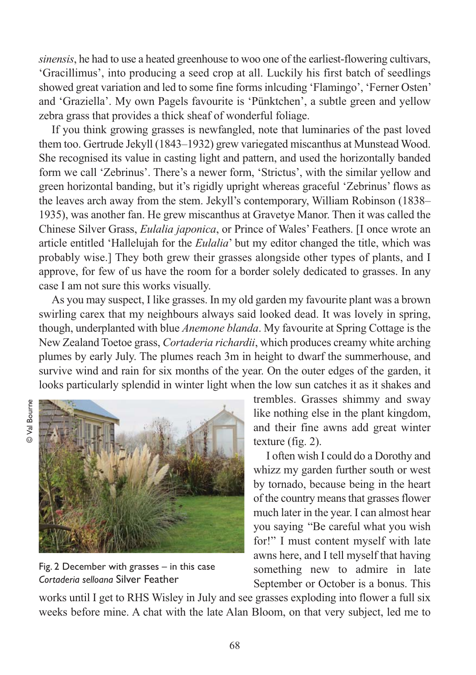*sinensis*, he had to use a heated greenhouse to woo one of the earliest-flowering cultivars, 'Gracillimus', into producing a seed crop at all. Luckily his first batch of seedlings showed great variation and led to some fine forms inlcuding 'Flamingo', 'Ferner Osten' and 'Graziella'. My own Pagels favourite is 'Pünktchen', a subtle green and yellow zebra grass that provides a thick sheaf of wonderful foliage.

If you think growing grasses is newfangled, note that luminaries of the past loved them too. Gertrude Jekyll (1843–1932) grew variegated miscanthus at Munstead Wood. She recognised its value in casting light and pattern, and used the horizontally banded form we call 'Zebrinus'. There's a newer form, 'Strictus', with the similar yellow and green horizontal banding, but it's rigidly upright whereas graceful 'Zebrinus' flows as the leaves arch away from the stem. Jekyll's contemporary, William Robinson (1838– 1935), was another fan. He grew miscanthus at Gravetye Manor. Then it was called the Chinese Silver Grass, *Eulalia japonica*, or Prince of Wales' Feathers. [I once wrote an article entitled 'Hallelujah for the *Eulalia*' but my editor changed the title, which was probably wise.] They both grew their grasses alongside other types of plants, and I approve, for few of us have the room for a border solely dedicated to grasses. In any case I am not sure this works visually.

As you may suspect, I like grasses. In my old garden my favourite plant was a brown swirling carex that my neighbours always said looked dead. It was lovely in spring, though, underplanted with blue *Anemone blanda*. My favourite at Spring Cottage is the New Zealand Toetoe grass, *Cortaderia richardii*, which produces creamy white arching plumes by early July. The plumes reach 3m in height to dwarf the summerhouse, and survive wind and rain for six months of the year. On the outer edges of the garden, it looks particularly splendid in winter light when the low sun catches it as it shakes and



Fig. 2 December with grasses – in this case *Cortaderia selloana* Silver Feather

trembles. Grasses shimmy and sway like nothing else in the plant kingdom, and their fine awns add great winter texture (fig. 2).

I often wish I could do a Dorothy and whizz my garden further south or west by tornado, because being in the heart of the country means that grasses flower much later in the year. I can almost hear you saying "Be careful what you wish for!" I must content myself with late awns here, and I tell myself that having something new to admire in late September or October is a bonus. This

works until I get to RHS Wisley in July and see grasses exploding into flower a full six weeks before mine. A chat with the late Alan Bloom, on that very subject, led me to